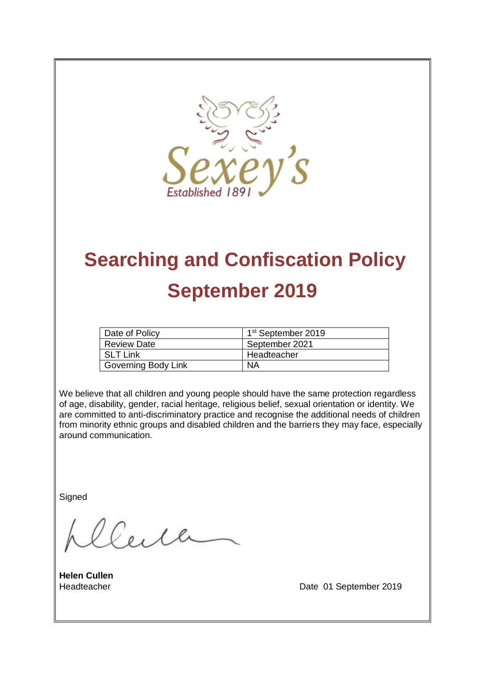

# **Searching and Confiscation Policy September 2019**

| Date of Policy      | 1 <sup>st</sup> September 2019 |
|---------------------|--------------------------------|
| <b>Review Date</b>  | September 2021                 |
| <b>SLT Link</b>     | Headteacher                    |
| Governing Body Link | ΝA                             |

We believe that all children and young people should have the same protection regardless of age, disability, gender, racial heritage, religious belief, sexual orientation or identity. We are committed to anti-discriminatory practice and recognise the additional needs of children from minority ethnic groups and disabled children and the barriers they may face, especially around communication.

**Signed** 

Ceile

**Helen Cullen**

Headteacher **Date 01 September 2019**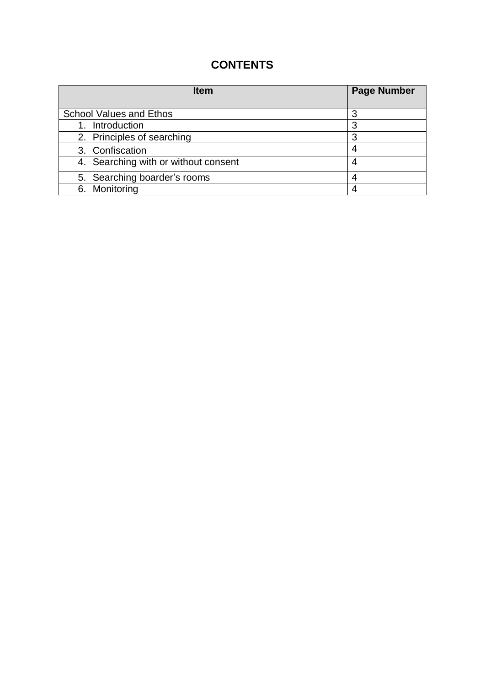## **CONTENTS**

| <b>Item</b>                          | <b>Page Number</b> |
|--------------------------------------|--------------------|
| <b>School Values and Ethos</b>       |                    |
| Introduction                         | 3                  |
| 2. Principles of searching           | 3                  |
| 3. Confiscation                      | 4                  |
| 4. Searching with or without consent | 4                  |
| 5. Searching boarder's rooms         |                    |
| 6. Monitoring                        |                    |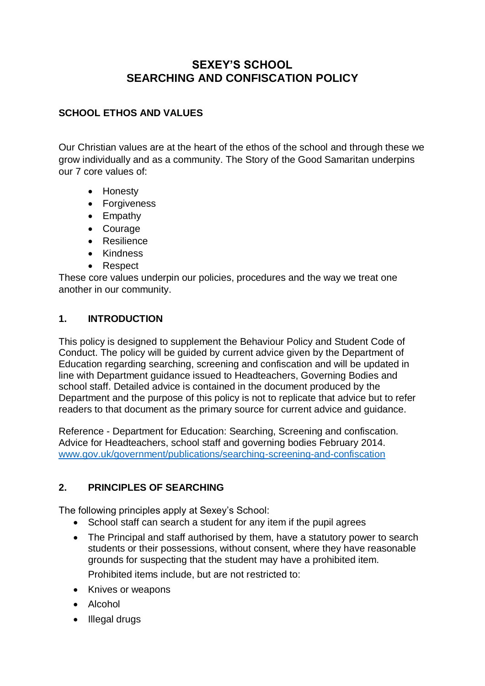### **SEXEY'S SCHOOL SEARCHING AND CONFISCATION POLICY**

#### **SCHOOL ETHOS AND VALUES**

Our Christian values are at the heart of the ethos of the school and through these we grow individually and as a community. The Story of the Good Samaritan underpins our 7 core values of:

- Honesty
- Forgiveness
- Empathy
- Courage
- **Resilience**
- Kindness
- Respect

These core values underpin our policies, procedures and the way we treat one another in our community.

#### **1. INTRODUCTION**

This policy is designed to supplement the Behaviour Policy and Student Code of Conduct. The policy will be guided by current advice given by the Department of Education regarding searching, screening and confiscation and will be updated in line with Department guidance issued to Headteachers, Governing Bodies and school staff. Detailed advice is contained in the document produced by the Department and the purpose of this policy is not to replicate that advice but to refer readers to that document as the primary source for current advice and guidance.

Reference - Department for Education: Searching, Screening and confiscation. Advice for Headteachers, school staff and governing bodies February 2014. [www.gov.uk/government/publications/searching-screening-and-confiscation](http://www.gov.uk/government/publications/searching-screening-and-confiscation)

#### **2. PRINCIPLES OF SEARCHING**

The following principles apply at Sexey's School:

- School staff can search a student for any item if the pupil agrees
- The Principal and staff authorised by them, have a statutory power to search students or their possessions, without consent, where they have reasonable grounds for suspecting that the student may have a prohibited item. Prohibited items include, but are not restricted to:
- Knives or weapons
- Alcohol
- Illegal drugs